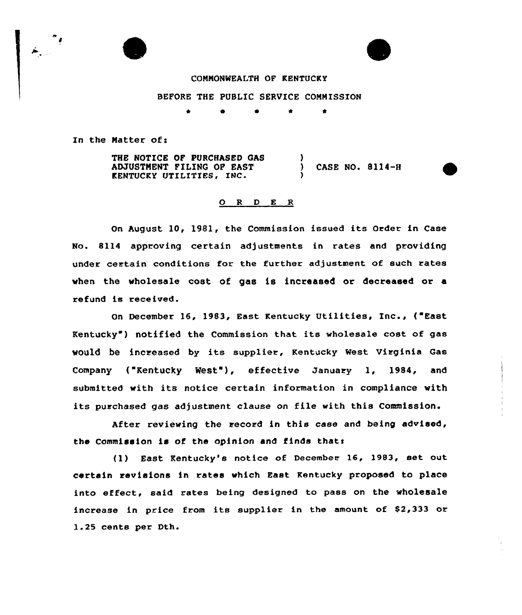



## COMMONWEALTH OF KENTUCKY

BEFORE THE PUBLIC SERVICE COMMISSION

 $\bullet$  $\bullet$  $\bullet$ 

In the Matter of:

THE NOTICE OF PURCHASED GAS ADJUSTMENT FILING OF EAST KENTUCKY UTILITIES, INC. ) ) CASE NO. 8114-8 )

## 0 <sup>R</sup> <sup>D</sup> <sup>E</sup> <sup>R</sup>

On August 10, 1981, the Commission issued its Order in Case No. 8114 approving certain adjustments in rates and providing under certain conditions for the further adjustment of such rates when the wholesale cost of gas is increased or decreased ar a refund is received.

On December 16, 1983, East Kentucky Utilities, Inc., ("East Kentucky ) notified the Commission that its wholesale cost of gas would be increased by its supplier, Kentucky West Virginia Gas Company ("Kentucky West"), effective January 1, 1984, and submitted with its notice certain information in compliance with its purchased gas adjustment clause on file with this Commission.

AEter reviewing the record in this case and being advised, the Commission is of the opinion and finds thats

(1) East Kentucky's notice of December 16, 1983, set out certain revisions in rates which East Kentucky proposed to place into effect, said rates being designed to pass on the wholesale increase in price from its supplier in the amount of \$2,333 ar 1.25 cents per Dth.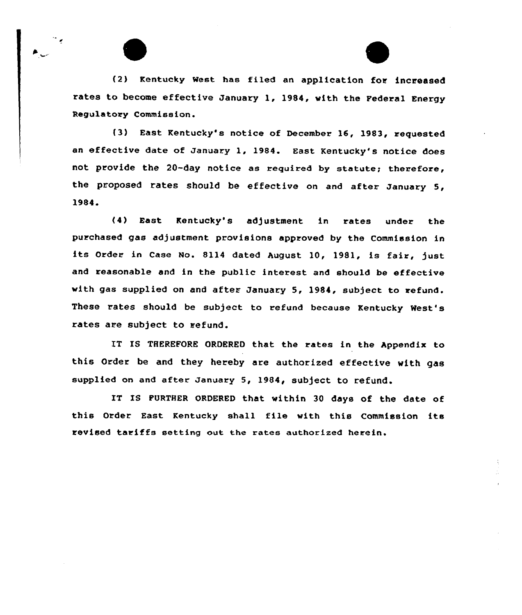(2} Kentucky West has filed an application for increased rates to become effective January 1, 1984, with the Federal Energy Regulatory Commission.

۰.

(3} East Kentucky's notice of December 16, 1983, requested an effective date of January 1, 1984. East Kentucky's notice does not provide the 20-day notice as required by statute; therefore, the proposed rates should be effective on and after January 5, 1984.

(4} East Kentucky's adjustment in rates under the purchased gas adjustment provisions approved by the Commission in its Order in Case No. 8114 dated August 10, 1981, is fair, just and reasonable and in the public interest and should be effective with gas supplied on and after January 5, 1984, subject to refund. These rates should be subject to refund because Kentucky West's rates are subject to refund.

IT IS THEREFORE ORDERED that the rates in the Appendix to this Order be and they hereby are authorized effective with gas supplied on and after January 5, 1984, subject to refund.

IT IS FURTHER ORDERED that within 30 days of the date of this Order East Kentucky shall file with this Commission its revised tariffs setting out the rates authorized herein.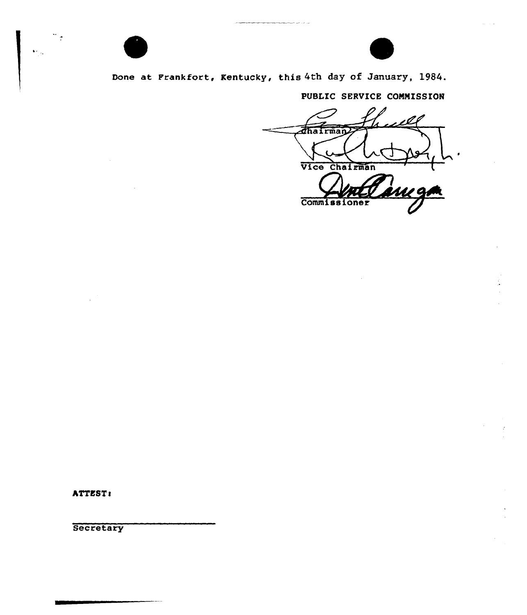

Done at Frankfort, Kentucky, this 4th day of January, 1984.

PUBLIC SERVICE COMMISSION

ı Ø Thairman Vice Chairman <u>inıgi</u> Commissioner

ATTEST:

 $\frac{1}{\sqrt{2}}$ 

 $\overline{\Omega}_{\rm ph}$ 

**Secretary**